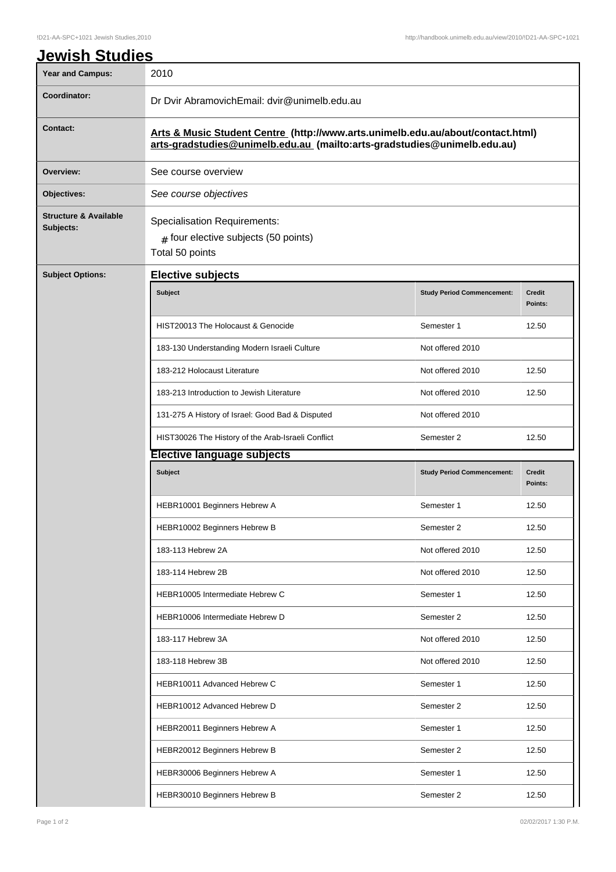| <b>Year and Campus:</b>                       | 2010                                                                                                                                                        |                                   |                          |  |
|-----------------------------------------------|-------------------------------------------------------------------------------------------------------------------------------------------------------------|-----------------------------------|--------------------------|--|
| Coordinator:                                  | Dr Dvir AbramovichEmail: dvir@unimelb.edu.au                                                                                                                |                                   |                          |  |
| <b>Contact:</b>                               | Arts & Music Student Centre (http://www.arts.unimelb.edu.au/about/contact.html)<br>arts-gradstudies@unimelb.edu.au (mailto:arts-gradstudies@unimelb.edu.au) |                                   |                          |  |
| Overview:                                     | See course overview                                                                                                                                         |                                   |                          |  |
| Objectives:                                   | See course objectives                                                                                                                                       |                                   |                          |  |
| <b>Structure &amp; Available</b><br>Subjects: | <b>Specialisation Requirements:</b><br>$#$ four elective subjects (50 points)<br>Total 50 points                                                            |                                   |                          |  |
| <b>Subject Options:</b>                       | <b>Elective subjects</b>                                                                                                                                    |                                   |                          |  |
|                                               | Subject                                                                                                                                                     | <b>Study Period Commencement:</b> | <b>Credit</b><br>Points: |  |
|                                               | HIST20013 The Holocaust & Genocide                                                                                                                          | Semester 1                        | 12.50                    |  |
|                                               | 183-130 Understanding Modern Israeli Culture                                                                                                                | Not offered 2010                  |                          |  |
|                                               | 183-212 Holocaust Literature                                                                                                                                | Not offered 2010                  | 12.50                    |  |
|                                               | 183-213 Introduction to Jewish Literature                                                                                                                   | Not offered 2010                  | 12.50                    |  |
|                                               | 131-275 A History of Israel: Good Bad & Disputed                                                                                                            | Not offered 2010                  |                          |  |
|                                               | HIST30026 The History of the Arab-Israeli Conflict                                                                                                          | Semester 2                        | 12.50                    |  |
|                                               | <b>Elective language subjects</b>                                                                                                                           |                                   |                          |  |
|                                               | Subject                                                                                                                                                     | <b>Study Period Commencement:</b> | <b>Credit</b><br>Points: |  |
|                                               | HEBR10001 Beginners Hebrew A                                                                                                                                | Semester 1                        | 12.50                    |  |
|                                               | HEBR10002 Beginners Hebrew B                                                                                                                                | Semester 2                        | 12.50                    |  |
|                                               | 183-113 Hebrew 2A                                                                                                                                           | Not offered 2010                  | 12.50                    |  |
|                                               | 183-114 Hebrew 2B                                                                                                                                           | Not offered 2010                  | 12.50                    |  |
|                                               | HEBR10005 Intermediate Hebrew C                                                                                                                             | Semester 1                        | 12.50                    |  |
|                                               | HEBR10006 Intermediate Hebrew D                                                                                                                             | Semester 2                        | 12.50                    |  |
|                                               | 183-117 Hebrew 3A                                                                                                                                           | Not offered 2010                  | 12.50                    |  |
|                                               | 183-118 Hebrew 3B                                                                                                                                           | Not offered 2010                  | 12.50                    |  |
|                                               | HEBR10011 Advanced Hebrew C                                                                                                                                 | Semester 1                        | 12.50                    |  |
|                                               | HEBR10012 Advanced Hebrew D                                                                                                                                 | Semester 2                        | 12.50                    |  |
|                                               | HEBR20011 Beginners Hebrew A                                                                                                                                | Semester 1                        | 12.50                    |  |
|                                               | HEBR20012 Beginners Hebrew B                                                                                                                                | Semester 2                        | 12.50                    |  |
|                                               | HEBR30006 Beginners Hebrew A                                                                                                                                | Semester 1                        | 12.50                    |  |
|                                               | HEBR30010 Beginners Hebrew B                                                                                                                                | Semester 2                        | 12.50                    |  |
|                                               |                                                                                                                                                             |                                   |                          |  |